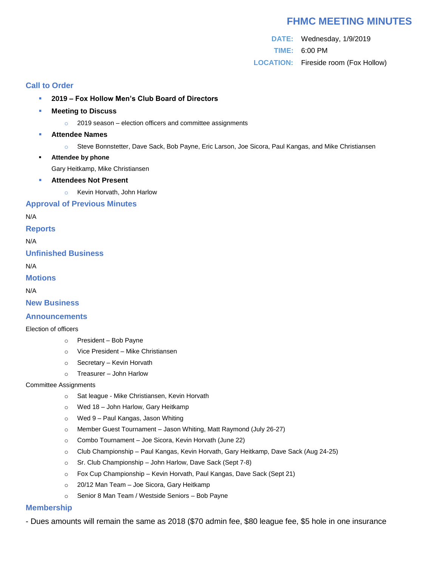# **FHMC MEETING MINUTES**

**DATE:** Wednesday, 1/9/2019 **TIME:** 6:00 PM **LOCATION:** Fireside room (Fox Hollow)

### **Call to Order**

- **2019 – Fox Hollow Men's Club Board of Directors**
- **Meeting to Discuss** 
	- $\degree$  2019 season election officers and committee assignments
- **Attendee Names**
	- o Steve Bonnstetter, Dave Sack, Bob Payne, Eric Larson, Joe Sicora, Paul Kangas, and Mike Christiansen
- **Attendee by phone**

Gary Heitkamp, Mike Christiansen

- **Attendees Not Present**
	- o Kevin Horvath, John Harlow

### **Approval of Previous Minutes**

N/A

**Reports**

N/A

**Unfinished Business**

N/A

**Motions**

N/A

**New Business**

### **Announcements**

#### Election of officers

- o President Bob Payne
- o Vice President Mike Christiansen
- o Secretary Kevin Horvath
- o Treasurer John Harlow

#### Committee Assignments

- o Sat league Mike Christiansen, Kevin Horvath
- o Wed 18 John Harlow, Gary Heitkamp
- o Wed 9 Paul Kangas, Jason Whiting
- o Member Guest Tournament Jason Whiting, Matt Raymond (July 26-27)
- o Combo Tournament Joe Sicora, Kevin Horvath (June 22)
- o Club Championship Paul Kangas, Kevin Horvath, Gary Heitkamp, Dave Sack (Aug 24-25)
- $\circ$  Sr. Club Championship John Harlow, Dave Sack (Sept 7-8)
- o Fox Cup Championship Kevin Horvath, Paul Kangas, Dave Sack (Sept 21)
- o 20/12 Man Team Joe Sicora, Gary Heitkamp
- o Senior 8 Man Team / Westside Seniors Bob Payne

### **Membership**

- Dues amounts will remain the same as 2018 (\$70 admin fee, \$80 league fee, \$5 hole in one insurance